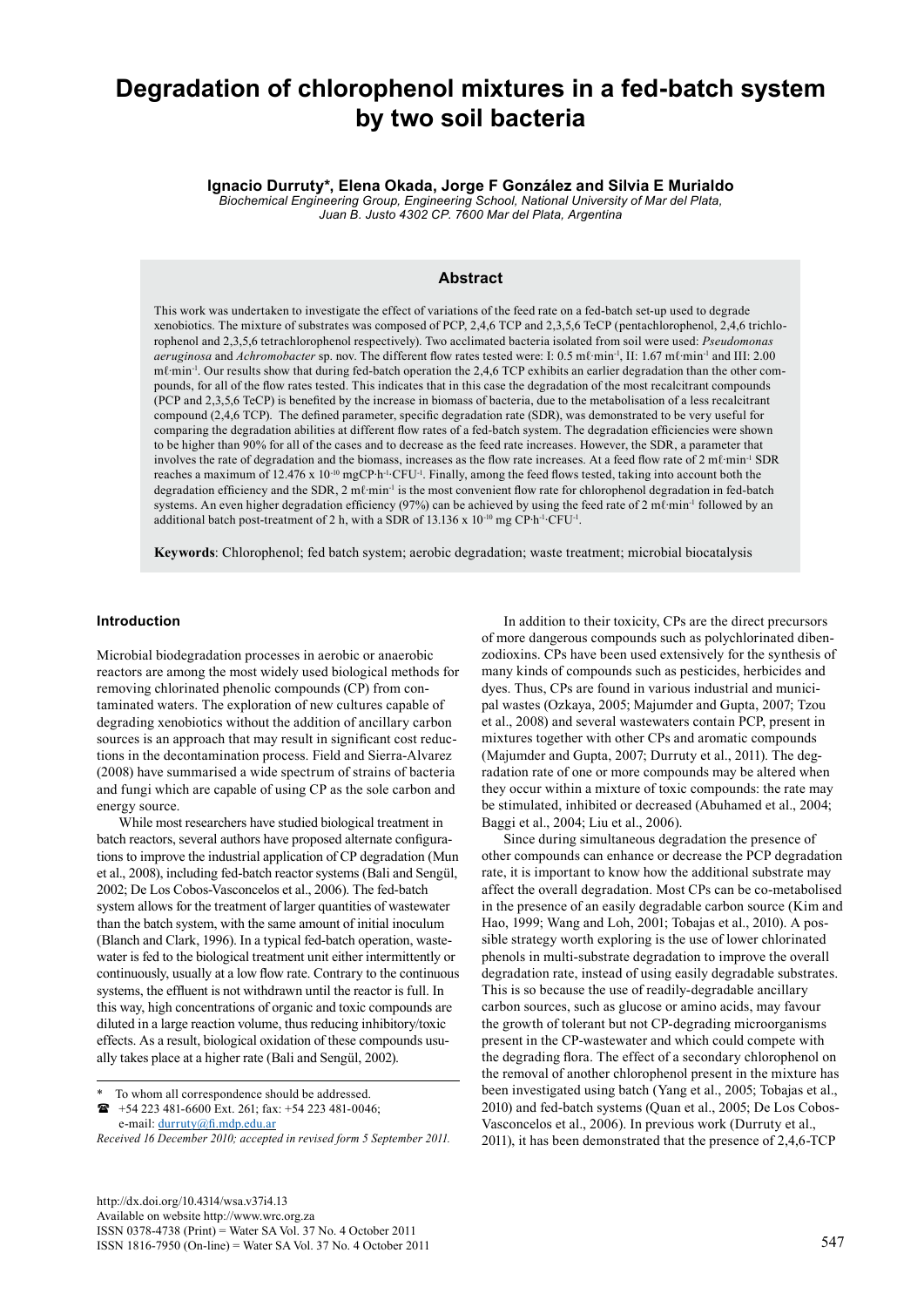# **Degradation of chlorophenol mixtures in a fed-batch system by two soil bacteria**

**Ignacio Durruty\*, Elena Okada, Jorge F González and Silvia E Murialdo**

*Biochemical Engineering Group, Engineering School, National University of Mar del Plata, Juan B. Justo 4302 CP. 7600 Mar del Plata, Argentina*

## **Abstract**

This work was undertaken to investigate the effect of variations of the feed rate on a fed-batch set-up used to degrade xenobiotics. The mixture of substrates was composed of PCP, 2,4,6 TCP and 2,3,5,6 TeCP (pentachlorophenol, 2,4,6 trichlorophenol and 2,3,5,6 tetrachlorophenol respectively). Two acclimated bacteria isolated from soil were used: *Pseudomonas aeruginosa* and *Achromobacter* sp. nov. The different flow rates tested were: I: 0.5 mℓ·min<sup>-1</sup>, II: 1.67 mℓ·min<sup>-1</sup> and III: 2.00 mℓ·min<sup>-1</sup>. Our results show that during fed-batch operation the 2,4,6 TCP exhibits an earlier degradation than the other compounds, for all of the flow rates tested. This indicates that in this case the degradation of the most recalcitrant compounds (PCP and 2,3,5,6 TeCP) is benefited by the increase in biomass of bacteria, due to the metabolisation of a less recalcitrant compound (2,4,6 TCP). The defined parameter, specific degradation rate (SDR), was demonstrated to be very useful for comparing the degradation abilities at different flow rates of a fed-batch system. The degradation efficiencies were shown to be higher than 90% for all of the cases and to decrease as the feed rate increases. However, the SDR, a parameter that involves the rate of degradation and the biomass, increases as the flow rate increases. At a feed flow rate of 2 mℓ∙min-1 SDR reaches a maximum of 12.476 x 10-10 mgCP∙h-1∙CFU-1. Finally, among the feed flows tested, taking into account both the degradation efficiency and the SDR, 2 mℓ·min<sup>-1</sup> is the most convenient flow rate for chlorophenol degradation in fed-batch systems. An even higher degradation efficiency (97%) can be achieved by using the feed rate of 2 mℓ⋅min<sup>-1</sup> followed by an additional batch post-treatment of 2 h, with a SDR of 13.136 x 10-10 mg CP∙h-1∙CFU-1.

**Keywords**: Chlorophenol; fed batch system; aerobic degradation; waste treatment; microbial biocatalysis

#### **Introduction**

Microbial biodegradation processes in aerobic or anaerobic reactors are among the most widely used biological methods for removing chlorinated phenolic compounds (CP) from contaminated waters. The exploration of new cultures capable of degrading xenobiotics without the addition of ancillary carbon sources is an approach that may result in significant cost reductions in the decontamination process. Field and Sierra-Alvarez (2008) have summarised a wide spectrum of strains of bacteria and fungi which are capable of using CP as the sole carbon and energy source.

While most researchers have studied biological treatment in batch reactors, several authors have proposed alternate configurations to improve the industrial application of CP degradation (Mun et al., 2008), including fed-batch reactor systems (Bali and Sengül, 2002; De Los Cobos-Vasconcelos et al., 2006). The fed-batch system allows for the treatment of larger quantities of wastewater than the batch system, with the same amount of initial inoculum (Blanch and Clark, 1996). In a typical fed-batch operation, wastewater is fed to the biological treatment unit either intermittently or continuously, usually at a low flow rate. Contrary to the continuous systems, the effluent is not withdrawn until the reactor is full. In this way, high concentrations of organic and toxic compounds are diluted in a large reaction volume, thus reducing inhibitory/toxic effects. As a result, biological oxidation of these compounds usually takes place at a higher rate (Bali and Sengül, 2002).

 +54 223 481-6600 Ext. 261; fax: +54 223 481-0046; e-mail: [durruty@fi.mdp.edu.ar](mailto:durruty@fi.mdp.edu.ar)

In addition to their toxicity, CPs are the direct precursors of more dangerous compounds such as polychlorinated dibenzodioxins. CPs have been used extensively for the synthesis of many kinds of compounds such as pesticides, herbicides and dyes. Thus, CPs are found in various industrial and municipal wastes (Ozkaya, 2005; Majumder and Gupta, 2007; Tzou et al., 2008) and several wastewaters contain PCP, present in mixtures together with other CPs and aromatic compounds (Majumder and Gupta, 2007; Durruty et al., 2011). The degradation rate of one or more compounds may be altered when they occur within a mixture of toxic compounds: the rate may be stimulated, inhibited or decreased (Abuhamed et al., 2004; Baggi et al., 2004; Liu et al., 2006).

Since during simultaneous degradation the presence of other compounds can enhance or decrease the PCP degradation rate, it is important to know how the additional substrate may affect the overall degradation. Most CPs can be co-metabolised in the presence of an easily degradable carbon source (Kim and Hao, 1999; Wang and Loh, 2001; Tobajas et al., 2010). A possible strategy worth exploring is the use of lower chlorinated phenols in multi-substrate degradation to improve the overall degradation rate, instead of using easily degradable substrates. This is so because the use of readily-degradable ancillary carbon sources, such as glucose or amino acids, may favour the growth of tolerant but not CP-degrading microorganisms present in the CP-wastewater and which could compete with the degrading flora. The effect of a secondary chlorophenol on the removal of another chlorophenol present in the mixture has been investigated using batch (Yang et al., 2005; Tobajas et al., 2010) and fed-batch systems (Quan et al., 2005; De Los Cobos-Vasconcelos et al., 2006). In previous work (Durruty et al., 2011), it has been demonstrated that the presence of 2,4,6-TCP

To whom all correspondence should be addressed.

*Received 16 December 2010; accepted in revised form 5 September 2011.*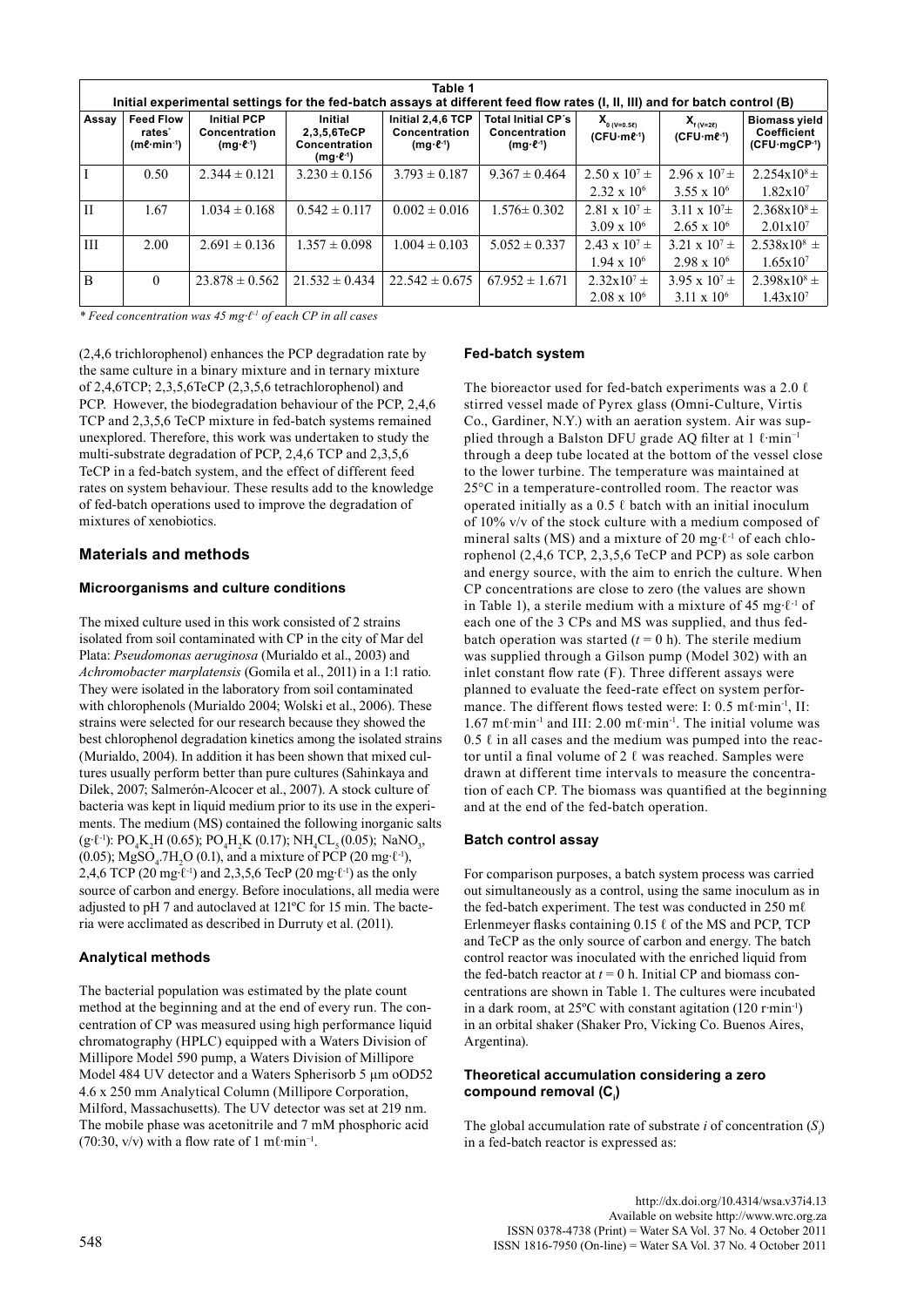| Table 1<br>Initial experimental settings for the fed-batch assays at different feed flow rates (I, II, III) and for batch control (B) |                                                                    |                                                               |                                                                   |                                                  |                                                                      |                                                |                                                  |                                                       |  |  |  |  |  |
|---------------------------------------------------------------------------------------------------------------------------------------|--------------------------------------------------------------------|---------------------------------------------------------------|-------------------------------------------------------------------|--------------------------------------------------|----------------------------------------------------------------------|------------------------------------------------|--------------------------------------------------|-------------------------------------------------------|--|--|--|--|--|
| Assay                                                                                                                                 | <b>Feed Flow</b><br>rates <sup>*</sup><br>$(m\ell \cdot min^{-1})$ | <b>Initial PCP</b><br>Concentration<br>$(mg \cdot \ell^{-1})$ | Initial<br>2,3,5,6TeCP<br>Concentration<br>$(mg \cdot \ell^{-1})$ | Initial 2,4,6 TCP<br>Concentration<br>$(mg·l-1)$ | <b>Total Initial CP's</b><br>Concentration<br>$(mg \cdot \ell^{-1})$ | $X_{0 (V=0.58)}$<br>$(CFU·m\ell^{-1})$         | $X_{f(V=2\ell)}$<br>$(CFU·m\ell^{-1})$           | <b>Biomass yield</b><br>Coefficient<br>$(CFU·mgCP-1)$ |  |  |  |  |  |
|                                                                                                                                       | 0.50                                                               | $2.344 \pm 0.121$                                             | $3.230 \pm 0.156$                                                 | $3.793 \pm 0.187$                                | $9.367 \pm 0.464$                                                    | $2.50 \times 10^{7} \pm$<br>$2.32 \times 10^6$ | $2.96 \times 10^{7} \pm$<br>$3.55 \times 10^{6}$ | $2.254x10^{8} \pm$<br>$1.82 \times 10^7$              |  |  |  |  |  |
| $\mathbf{I}$                                                                                                                          | 1.67                                                               | $0.034 \pm 0.168$                                             | $0.542 \pm 0.117$                                                 | $0.002 \pm 0.016$                                | $1.576 \pm 0.302$                                                    | 2.81 x $10^7$ ±<br>$3.09 \times 10^6$          | 3.11 x $10^{7}$ ±<br>$2.65 \times 10^{6}$        | $2.368x10^{8} \pm$<br>$2.01 \times 10^7$              |  |  |  |  |  |
| III                                                                                                                                   | 2.00                                                               | $2.691 \pm 0.136$                                             | $1.357 \pm 0.098$                                                 | $1.004 \pm 0.103$                                | $5.052 \pm 0.337$                                                    | $2.43 \times 10^{7} \pm$<br>$1.94 \times 10^6$ | 3.21 x $10^7$ ±<br>$2.98 \times 10^{6}$          | $2.538x10^{8}$ ±<br>$1.65 \times 10^{7}$              |  |  |  |  |  |
| B                                                                                                                                     | $\Omega$                                                           | $23.878 \pm 0.562$                                            | $21.532 \pm 0.434$                                                | $22.542 \pm 0.675$                               | $67.952 \pm 1.671$                                                   | $2.32 \times 10^{7} \pm$<br>$2.08 \times 10^6$ | $3.95 \times 10^{7} \pm$<br>$3.11 \times 10^{6}$ | $2.398x10^{8} \pm$<br>1.43x107                        |  |  |  |  |  |

*\* Feed concentration was 45 mg∙ℓ-1 of each CP in all cases*

(2,4,6 trichlorophenol) enhances the PCP degradation rate by the same culture in a binary mixture and in ternary mixture of 2,4,6TCP; 2,3,5,6TeCP (2,3,5,6 tetrachlorophenol) and PCP. However, the biodegradation behaviour of the PCP, 2,4,6 TCP and 2,3,5,6 TeCP mixture in fed-batch systems remained unexplored. Therefore, this work was undertaken to study the multi-substrate degradation of PCP, 2,4,6 TCP and 2,3,5,6 TeCP in a fed-batch system, and the effect of different feed rates on system behaviour. These results add to the knowledge of fed-batch operations used to improve the degradation of mixtures of xenobiotics.

## **Materials and methods**

## **Microorganisms and culture conditions**

The mixed culture used in this work consisted of 2 strains isolated from soil contaminated with CP in the city of Mar del Plata: *Pseudomonas aeruginosa* (Murialdo et al., 2003) and *Achromobacter marplatensis* (Gomila et al., 2011) in a 1:1 ratio. They were isolated in the laboratory from soil contaminated with chlorophenols (Murialdo 2004; Wolski et al., 2006). These strains were selected for our research because they showed the best chlorophenol degradation kinetics among the isolated strains (Murialdo, 2004). In addition it has been shown that mixed cultures usually perform better than pure cultures (Sahinkaya and Dilek, 2007; Salmerón-Alcocer et al., 2007). A stock culture of bacteria was kept in liquid medium prior to its use in the experiments. The medium (MS) contained the following inorganic salts (g⋅ℓ⋅<sup>1</sup>): PO<sub>4</sub>K<sub>2</sub>H (0.65); PO<sub>4</sub>H<sub>2</sub>K (0.17); NH<sub>4</sub>CL<sub>5</sub> (0.05); NaNO<sub>3</sub>, (0.05); MgSO<sub>4</sub>.7H<sub>2</sub>O (0.1), and a mixture of PCP (20 mg⋅ $\ell$ <sup>-1</sup>), 2,4,6 TCP (20 mg⋅ℓ<sup>-1</sup>) and 2,3,5,6 TecP (20 mg⋅ℓ<sup>-1</sup>) as the only source of carbon and energy. Before inoculations, all media were adjusted to pH 7 and autoclaved at 121ºC for 15 min. The bacteria were acclimated as described in Durruty et al. (2011).

## **Analytical methods**

The bacterial population was estimated by the plate count method at the beginning and at the end of every run. The concentration of CP was measured using high performance liquid chromatography (HPLC) equipped with a Waters Division of Millipore Model 590 pump, a Waters Division of Millipore Model 484 UV detector and a Waters Spherisorb 5 μm oOD52 4.6 x 250 mm Analytical Column (Millipore Corporation, Milford, Massachusetts). The UV detector was set at 219 nm. The mobile phase was acetonitrile and 7 mM phosphoric acid (70:30, v/v) with a flow rate of 1 mℓ $·$ min<sup>-1</sup>.

#### **Fed-batch system**

The bioreactor used for fed-batch experiments was a 2.0  $\ell$ stirred vessel made of Pyrex glass (Omni-Culture, Virtis Co., Gardiner, N.Y.) with an aeration system. Air was supplied through a Balston DFU grade AQ filter at 1 ℓ∙min−1 through a deep tube located at the bottom of the vessel close to the lower turbine. The temperature was maintained at 25°C in a temperature-controlled room. The reactor was operated initially as a  $0.5 \ell$  batch with an initial inoculum of 10% v/v of the stock culture with a medium composed of mineral salts (MS) and a mixture of 20 mg⋅ℓ<sup>-1</sup> of each chlorophenol (2,4,6 TCP, 2,3,5,6 TeCP and PCP) as sole carbon and energy source, with the aim to enrich the culture. When CP concentrations are close to zero (the values are shown in Table 1), a sterile medium with a mixture of 45 mg∙ℓ-1 of each one of the 3 CPs and MS was supplied, and thus fedbatch operation was started  $(t = 0 h)$ . The sterile medium was supplied through a Gilson pump (Model 302) with an inlet constant flow rate (F). Three different assays were planned to evaluate the feed-rate effect on system performance. The different flows tested were: I: 0.5 mℓ∙min-1, II: 1.67 mℓ∙min-1 and III: 2.00 mℓ∙min-1. The initial volume was  $0.5 \ell$  in all cases and the medium was pumped into the reactor until a final volume of 2 ℓ was reached. Samples were drawn at different time intervals to measure the concentration of each CP. The biomass was quantified at the beginning and at the end of the fed-batch operation.

#### **Batch control assay**

For comparison purposes, a batch system process was carried out simultaneously as a control, using the same inoculum as in the fed-batch experiment. The test was conducted in 250 mℓ Erlenmeyer flasks containing 0.15 ℓ of the MS and PCP, TCP and TeCP as the only source of carbon and energy. The batch control reactor was inoculated with the enriched liquid from the fed-batch reactor at  $t = 0$  h. Initial CP and biomass concentrations are shown in Table 1. The cultures were incubated in a dark room, at 25ºC with constant agitation (120 r∙min-1) in an orbital shaker (Shaker Pro, Vicking Co. Buenos Aires, Argentina).

## **Theoretical accumulation considering a zero**  compound removal (C<sub>i</sub>)

The global accumulation rate of substrate *i* of concentration  $(S_i)$ in a fed-batch reactor is expressed as: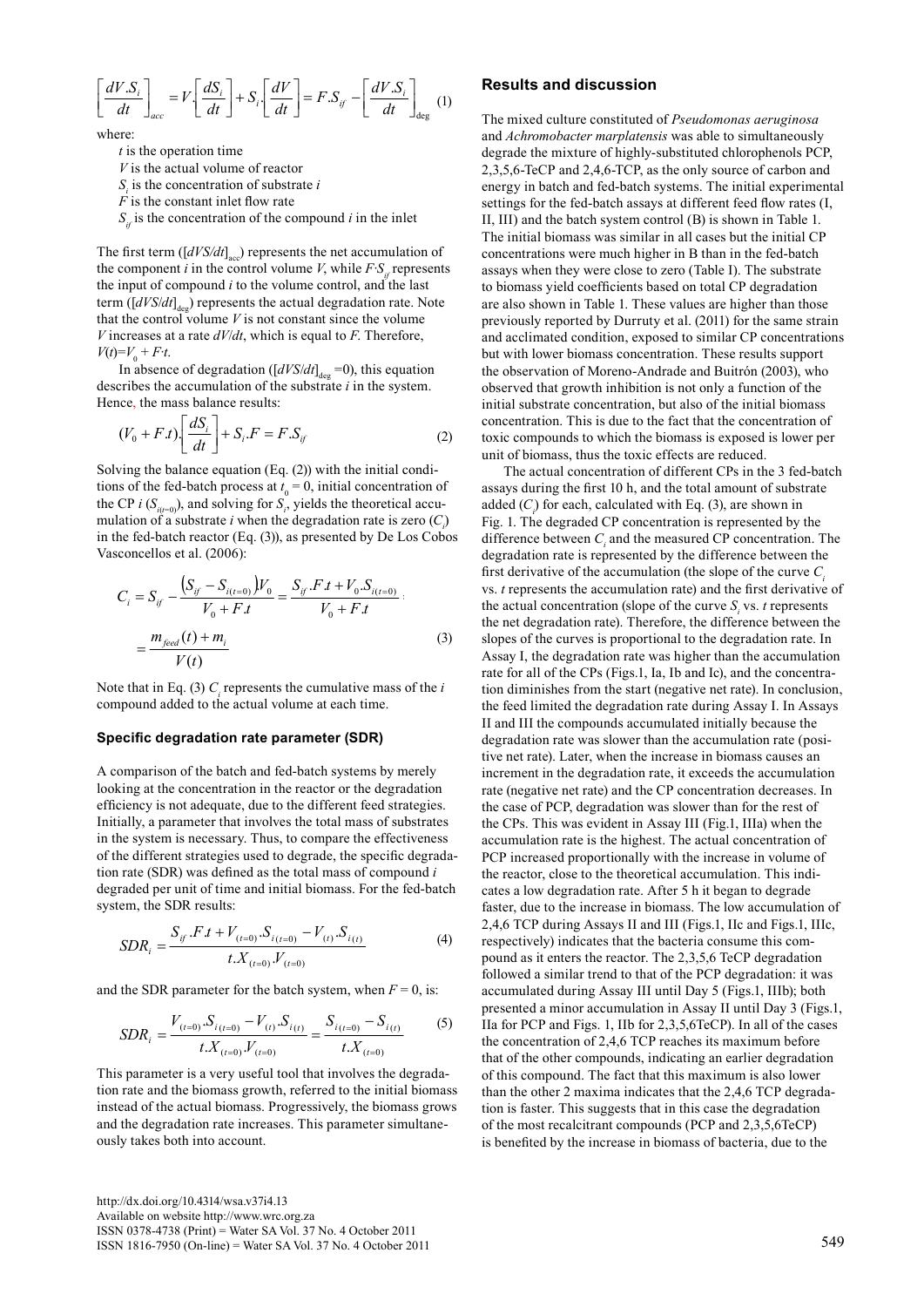$$
\left[\frac{dV.S_i}{dt}\right]_{acc} = V\left[\frac{dS_i}{dt}\right] + S_i\left[\frac{dV}{dt}\right] = F.S_{if} - \left[\frac{dV.S_i}{dt}\right]_{deg} \tag{1}
$$

where:

*t* is the operation time

*V* is the actual volume of reactor

 $S<sub>i</sub>$  is the concentration of substrate *i* 

 $\overrightarrow{F}$  is the constant inlet flow rate

 $S_{i}$  is the concentration of the compound *i* in the inlet

The first term  $([dV S/dt]_{acc})$  represents the net accumulation of the component *i* in the control volume *V*, while  $F S$ <sub>i</sub> represents the input of compound *i* to the volume control, and the last term ([*dVS*/*dt*]<sub>deg</sub>) represents the actual degradation rate. Note that the control volume *V* is not constant since the volume *V* increases at a rate *dV*/*dt*, which is equal to *F*. Therefore,  $V(t) = V_0 + F \cdot t$ .

In absence of degradation ( $[dVS/dt]_{\text{deg}} = 0$ ), this equation describes the accumulation of the substrate *i* in the system. Hence, the mass balance results:

$$
(V_0 + F.t) \left[ \frac{dS_i}{dt} \right] + S_i.F = F.S_{if}
$$
 (2)

Solving the balance equation (Eq. (2)) with the initial conditions of the fed-batch process at  $t_0 = 0$ , initial concentration of the CP *i* ( $S$ <sub>*i*( $t=0$ )</sub>), and solving for  $S$ <sub>*i*</sub>, yields the theoretical accumulation of a substrate *i* when the degradation rate is zero  $(C_i)$ in the fed-batch reactor (Eq. (3)), as presented by De Los Cobos Vasconcellos et al. (2006):

$$
C_{i} = S_{if} - \frac{(S_{if} - S_{i(t=0)})V_{0}}{V_{0} + Ft} = \frac{S_{if} \cdot F \cdot t + V_{0} \cdot S_{i(t=0)}}{V_{0} + F \cdot t}
$$
\n
$$
= \frac{m_{feed}(t) + m_{i}}{V(t)}
$$
\n(3) sl

Note that in Eq. (3)  $C<sub>i</sub>$  represents the cumulative mass of the *i* compound added to the actual volume at each time.

#### **Specific degradation rate parameter (SDR)**

A comparison of the batch and fed-batch systems by merely looking at the concentration in the reactor or the degradation efficiency is not adequate, due to the different feed strategies. Initially, a parameter that involves the total mass of substrates in the system is necessary. Thus, to compare the effectiveness of the different strategies used to degrade, the specific degradation rate (SDR) was defined as the total mass of compound *i* degraded per unit of time and initial biomass. For the fed-batch system, the SDR results:

$$
SDR_i = \frac{S_{if} \cdot F \cdot t + V_{(t=0)} \cdot S_{i(t=0)} - V_{(t)} \cdot S_{i(t)}}{t \cdot X_{(t=0)} \cdot V_{(t=0)}} \tag{4}
$$

and the SDR parameter for the batch system, when  $F = 0$ , is:

$$
SDR_i = \frac{V_{(t=0)}S_{i(t=0)} - V_{(t)}S_{i(t)}}{t.X_{(t=0)}V_{(t=0)}} = \frac{S_{i(t=0)} - S_{i(t)}}{t.X_{(t=0)}}
$$
(5)

This parameter is a very useful tool that involves the degradation rate and the biomass growth, referred to the initial biomass instead of the actual biomass. Progressively, the biomass grows and the degradation rate increases. This parameter simultaneously takes both into account.

### **Results and discussion**

The mixed culture constituted of *Pseudomonas aeruginosa* and *Achromobacter marplatensis* was able to simultaneously degrade the mixture of highly-substituted chlorophenols PCP, 2,3,5,6-TeCP and 2,4,6-TCP, as the only source of carbon and energy in batch and fed-batch systems. The initial experimental settings for the fed-batch assays at different feed flow rates (I, II, III) and the batch system control (B) is shown in Table 1. The initial biomass was similar in all cases but the initial CP concentrations were much higher in B than in the fed-batch assays when they were close to zero (Table I). The substrate to biomass yield coefficients based on total CP degradation are also shown in Table 1. These values are higher than those previously reported by Durruty et al. (2011) for the same strain and acclimated condition, exposed to similar CP concentrations but with lower biomass concentration. These results support the observation of Moreno-Andrade and Buitrón (2003), who observed that growth inhibition is not only a function of the initial substrate concentration, but also of the initial biomass concentration. This is due to the fact that the concentration of toxic compounds to which the biomass is exposed is lower per unit of biomass, thus the toxic effects are reduced.

The actual concentration of different CPs in the 3 fed-batch assays during the first 10 h, and the total amount of substrate added  $(C_i)$  for each, calculated with Eq. (3), are shown in Fig. 1. The degraded CP concentration is represented by the difference between  $C<sub>i</sub>$  and the measured CP concentration. The degradation rate is represented by the difference between the first derivative of the accumulation (the slope of the curve *Ci* vs. *t* represents the accumulation rate) and the first derivative of the actual concentration (slope of the curve  $S_i$  vs. *t* represents the net degradation rate). Therefore, the difference between the slopes of the curves is proportional to the degradation rate. In Assay I, the degradation rate was higher than the accumulation rate for all of the CPs (Figs.1, Ia, Ib and Ic), and the concentration diminishes from the start (negative net rate). In conclusion, the feed limited the degradation rate during Assay I. In Assays II and III the compounds accumulated initially because the degradation rate was slower than the accumulation rate (positive net rate). Later, when the increase in biomass causes an increment in the degradation rate, it exceeds the accumulation rate (negative net rate) and the CP concentration decreases. In the case of PCP, degradation was slower than for the rest of the CPs. This was evident in Assay III (Fig.1, IIIa) when the accumulation rate is the highest. The actual concentration of PCP increased proportionally with the increase in volume of the reactor, close to the theoretical accumulation. This indicates a low degradation rate. After 5 h it began to degrade faster, due to the increase in biomass. The low accumulation of 2,4,6 TCP during Assays II and III (Figs.1, IIc and Figs.1, IIIc, respectively) indicates that the bacteria consume this compound as it enters the reactor. The 2,3,5,6 TeCP degradation followed a similar trend to that of the PCP degradation: it was accumulated during Assay III until Day 5 (Figs.1, IIIb); both presented a minor accumulation in Assay II until Day 3 (Figs.1, IIa for PCP and Figs. 1, IIb for 2,3,5,6TeCP). In all of the cases the concentration of 2,4,6 TCP reaches its maximum before that of the other compounds, indicating an earlier degradation of this compound. The fact that this maximum is also lower than the other 2 maxima indicates that the 2,4,6 TCP degradation is faster. This suggests that in this case the degradation of the most recalcitrant compounds (PCP and 2,3,5,6TeCP) is benefited by the increase in biomass of bacteria, due to the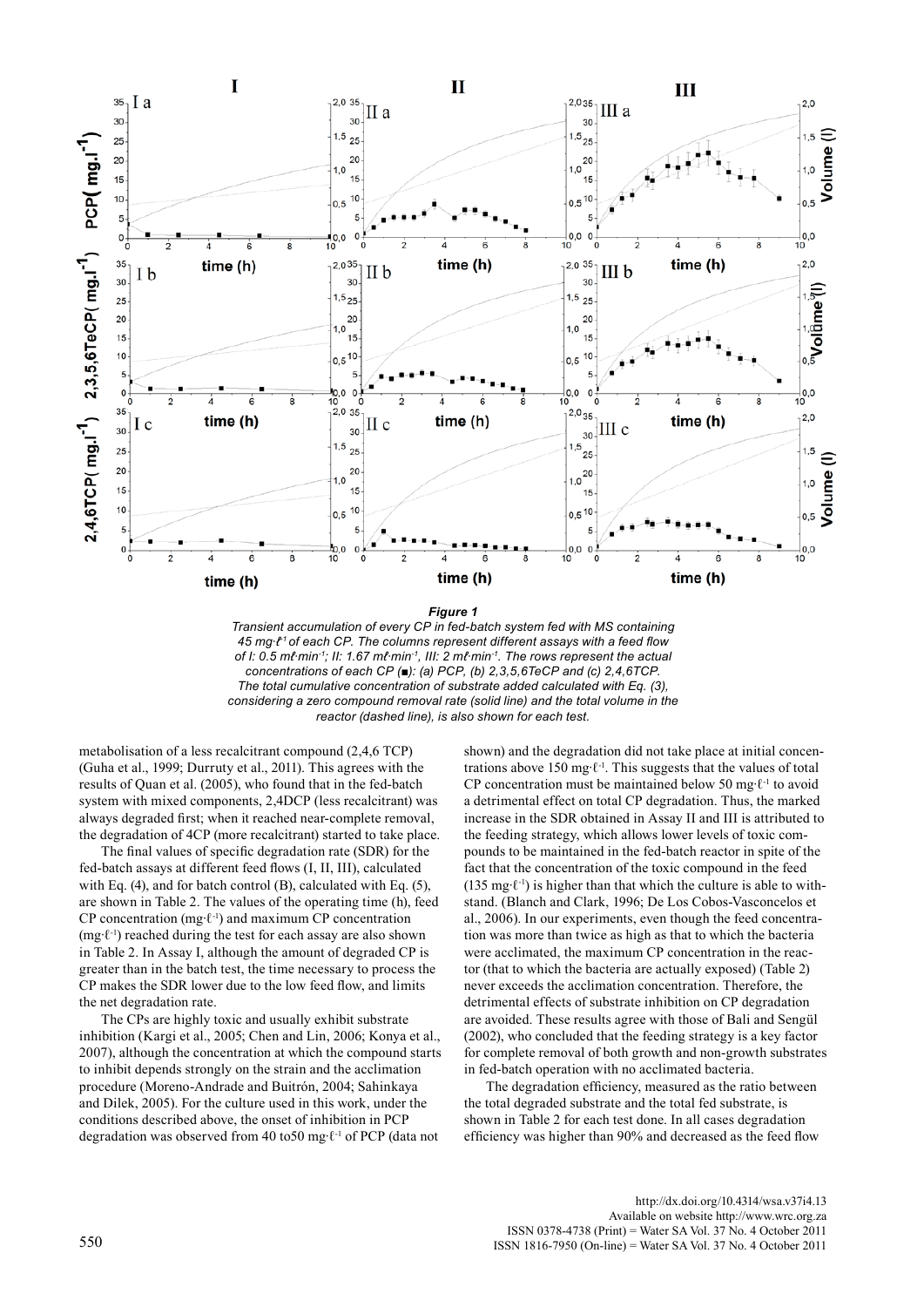

*Figure 1*

*Transient accumulation of every CP in fed-batch system fed with MS containing 45 mg∙ℓ-1 of each CP. The columns represent different assays with a feed flow of I: 0.5 mℓ∙min-1; II: 1.67 mℓ∙min-1, III: 2 mℓ∙min-1. The rows represent the actual concentrations of each CP* (■): (a) PCP, (b) 2,3,5,6TeCP and (c) 2,4,6TCP. *The total cumulative concentration of substrate added calculated with Eq. (3), considering a zero compound removal rate (solid line) and the total volume in the reactor (dashed line), is also shown for each test.*

metabolisation of a less recalcitrant compound (2,4,6 TCP) (Guha et al., 1999; Durruty et al., 2011). This agrees with the results of Quan et al. (2005), who found that in the fed-batch system with mixed components, 2,4DCP (less recalcitrant) was always degraded first; when it reached near-complete removal, the degradation of 4CP (more recalcitrant) started to take place.

The final values of specific degradation rate (SDR) for the fed-batch assays at different feed flows (I, II, III), calculated with Eq. (4), and for batch control (B), calculated with Eq. (5), are shown in Table 2. The values of the operating time (h), feed CP concentration (mg∙ℓ-1) and maximum CP concentration (mg∙ℓ-1) reached during the test for each assay are also shown in Table 2. In Assay I, although the amount of degraded CP is greater than in the batch test, the time necessary to process the CP makes the SDR lower due to the low feed flow, and limits the net degradation rate.

The CPs are highly toxic and usually exhibit substrate inhibition (Kargi et al., 2005; Chen and Lin, 2006; Konya et al., 2007), although the concentration at which the compound starts to inhibit depends strongly on the strain and the acclimation procedure (Moreno-Andrade and Buitrón, 2004; Sahinkaya and Dilek, 2005). For the culture used in this work, under the conditions described above, the onset of inhibition in PCP degradation was observed from 40 to50 mg∙ℓ-1 of PCP (data not

shown) and the degradation did not take place at initial concentrations above 150 mg∙ℓ-1. This suggests that the values of total CP concentration must be maintained below 50 mg∙ℓ-1 to avoid a detrimental effect on total CP degradation. Thus, the marked increase in the SDR obtained in Assay II and III is attributed to the feeding strategy, which allows lower levels of toxic compounds to be maintained in the fed-batch reactor in spite of the fact that the concentration of the toxic compound in the feed (135 mg∙ℓ-1) is higher than that which the culture is able to withstand. (Blanch and Clark, 1996; De Los Cobos-Vasconcelos et al., 2006). In our experiments, even though the feed concentration was more than twice as high as that to which the bacteria were acclimated, the maximum CP concentration in the reactor (that to which the bacteria are actually exposed) (Table 2) never exceeds the acclimation concentration. Therefore, the detrimental effects of substrate inhibition on CP degradation are avoided. These results agree with those of Bali and Sengül (2002), who concluded that the feeding strategy is a key factor for complete removal of both growth and non-growth substrates in fed-batch operation with no acclimated bacteria.

The degradation efficiency, measured as the ratio between the total degraded substrate and the total fed substrate, is shown in Table 2 for each test done. In all cases degradation efficiency was higher than 90% and decreased as the feed flow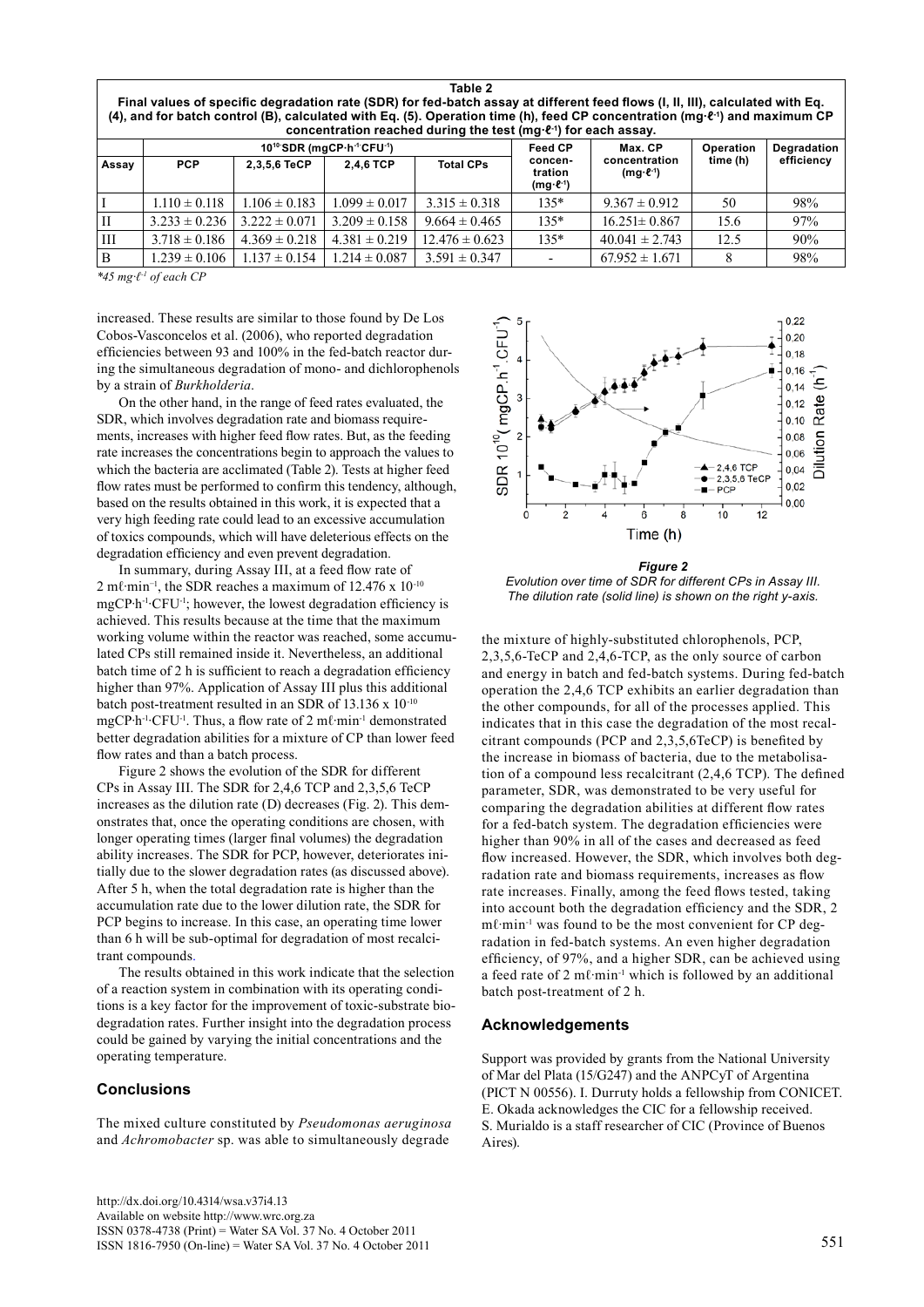| тавіе z<br>Final values of specific degradation rate (SDR) for fed-batch assay at different feed flows (I, II, III), calculated with Eq.<br>(4), and for batch control (B), calculated with Eq. (5). Operation time (h), feed CP concentration (mg·ℓ-1) and maximum CP<br>concentration reached during the test ( $mq \cdot \ell^{-1}$ ) for each assay. |                   |                   |                                                                |                    |                                              |                                         |             |            |  |  |  |  |
|----------------------------------------------------------------------------------------------------------------------------------------------------------------------------------------------------------------------------------------------------------------------------------------------------------------------------------------------------------|-------------------|-------------------|----------------------------------------------------------------|--------------------|----------------------------------------------|-----------------------------------------|-------------|------------|--|--|--|--|
|                                                                                                                                                                                                                                                                                                                                                          |                   |                   | 10 <sup>10</sup> SDR (mgCP·h <sup>-1</sup> CFU <sup>-1</sup> ) | <b>Feed CP</b>     | Max. CP                                      | Operation                               | Degradation |            |  |  |  |  |
| Assay                                                                                                                                                                                                                                                                                                                                                    | <b>PCP</b>        | 2,3,5,6 TeCP      | 2.4.6 TCP                                                      | <b>Total CPs</b>   | concen-<br>tration<br>$(mg \cdot \ell^{-1})$ | concentration<br>$(mg \cdot \ell^{-1})$ | time (h)    | efficiency |  |  |  |  |
|                                                                                                                                                                                                                                                                                                                                                          | $1.110 \pm 0.118$ | $1.106 \pm 0.183$ | $1.099 \pm 0.017$                                              | $3.315 \pm 0.318$  | $135*$                                       | $9.367 \pm 0.912$                       | 50          | 98%        |  |  |  |  |
| IН                                                                                                                                                                                                                                                                                                                                                       | $3.233 \pm 0.236$ | $3.222 \pm 0.071$ | $3.209 \pm 0.158$                                              | $9.664 \pm 0.465$  | $135*$                                       | $16.251 \pm 0.867$                      | 15.6        | 97%        |  |  |  |  |
| ĦП                                                                                                                                                                                                                                                                                                                                                       | $3.718 \pm 0.186$ | $4.369 \pm 0.218$ | $4.381 \pm 0.219$                                              | $12.476 \pm 0.623$ | $135*$                                       | $40.041 \pm 2.743$                      | 12.5        | 90%        |  |  |  |  |
| B                                                                                                                                                                                                                                                                                                                                                        | $1.239 \pm 0.106$ | $1.137 \pm 0.154$ | $1.214 \pm 0.087$                                              | $3.591 \pm 0.347$  |                                              | $67.952 \pm 1.671$                      |             | 98%        |  |  |  |  |

**Table 2**

*\*45 mg∙ℓ-1 of each CP*

increased. These results are similar to those found by De Los Cobos-Vasconcelos et al. (2006), who reported degradation efficiencies between 93 and 100% in the fed-batch reactor during the simultaneous degradation of mono- and dichlorophenols by a strain of *Burkholderia*.

On the other hand, in the range of feed rates evaluated, the SDR, which involves degradation rate and biomass requirements, increases with higher feed flow rates. But, as the feeding rate increases the concentrations begin to approach the values to which the bacteria are acclimated (Table 2). Tests at higher feed flow rates must be performed to confirm this tendency, although, based on the results obtained in this work, it is expected that a very high feeding rate could lead to an excessive accumulation of toxics compounds, which will have deleterious effects on the degradation efficiency and even prevent degradation.

In summary, during Assay III, at a feed flow rate of 2 mℓ∙min−1, the SDR reaches a maximum of 12.476 x 10-10 mgCP∙h-1∙CFU-1; however, the lowest degradation efficiency is achieved. This results because at the time that the maximum working volume within the reactor was reached, some accumulated CPs still remained inside it. Nevertheless, an additional batch time of 2 h is sufficient to reach a degradation efficiency higher than 97%. Application of Assay III plus this additional batch post-treatment resulted in an SDR of 13.136 x 10-10 mgCP∙h-1∙CFU-1. Thus, a flow rate of 2 mℓ∙min-1 demonstrated better degradation abilities for a mixture of CP than lower feed flow rates and than a batch process.

Figure 2 shows the evolution of the SDR for different CPs in Assay III. The SDR for 2,4,6 TCP and 2,3,5,6 TeCP increases as the dilution rate (D) decreases (Fig. 2). This demonstrates that, once the operating conditions are chosen, with longer operating times (larger final volumes) the degradation ability increases. The SDR for PCP, however, deteriorates initially due to the slower degradation rates (as discussed above). After 5 h, when the total degradation rate is higher than the accumulation rate due to the lower dilution rate, the SDR for PCP begins to increase. In this case, an operating time lower than 6 h will be sub-optimal for degradation of most recalcitrant compounds.

The results obtained in this work indicate that the selection of a reaction system in combination with its operating conditions is a key factor for the improvement of toxic-substrate biodegradation rates. Further insight into the degradation process could be gained by varying the initial concentrations and the operating temperature.

#### **Conclusions**

The mixed culture constituted by *Pseudomonas aeruginosa* and *Achromobacter* sp. was able to simultaneously degrade



*Figure 2 Evolution over time of SDR for different CPs in Assay III. The dilution rate (solid line) is shown on the right y-axis.*

the mixture of highly-substituted chlorophenols, PCP, 2,3,5,6-TeCP and 2,4,6-TCP, as the only source of carbon and energy in batch and fed-batch systems. During fed-batch operation the 2,4,6 TCP exhibits an earlier degradation than the other compounds, for all of the processes applied. This indicates that in this case the degradation of the most recalcitrant compounds (PCP and 2,3,5,6TeCP) is benefited by the increase in biomass of bacteria, due to the metabolisation of a compound less recalcitrant (2,4,6 TCP). The defined parameter, SDR, was demonstrated to be very useful for comparing the degradation abilities at different flow rates for a fed-batch system. The degradation efficiencies were higher than 90% in all of the cases and decreased as feed flow increased. However, the SDR, which involves both degradation rate and biomass requirements, increases as flow rate increases. Finally, among the feed flows tested, taking into account both the degradation efficiency and the SDR, 2 mℓ∙min-1 was found to be the most convenient for CP degradation in fed-batch systems. An even higher degradation efficiency, of 97%, and a higher SDR, can be achieved using a feed rate of 2 mℓ∙min-1 which is followed by an additional batch post-treatment of 2 h.

#### **Acknowledgements**

Support was provided by grants from the National University of Mar del Plata (15/G247) and the ANPCyT of Argentina (PICT N 00556). I. Durruty holds a fellowship from CONICET. E. Okada acknowledges the CIC for a fellowship received. S. Murialdo is a staff researcher of CIC (Province of Buenos Aires).